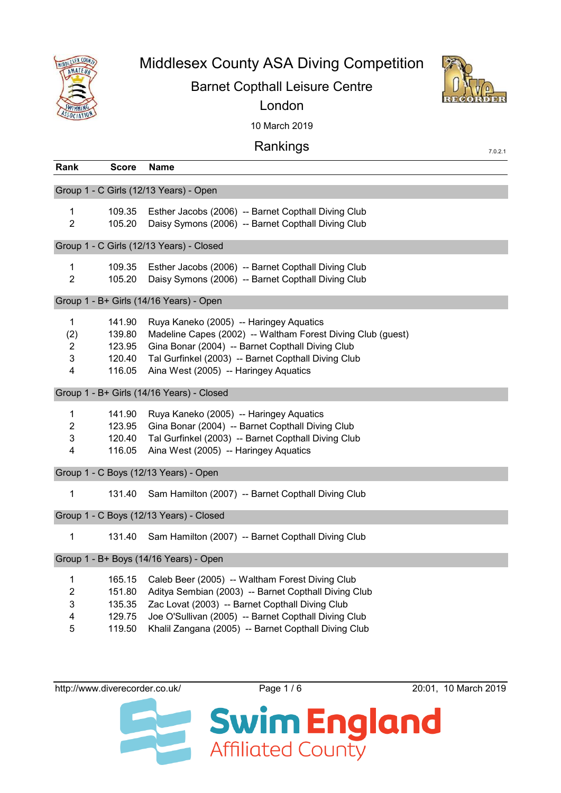

## Middlesex County ASA Diving Competition

## Barnet Copthall Leisure Centre



London

10 March 2019

| Rankings |  |
|----------|--|
|          |  |
|          |  |

| Rank                                                         | <b>Score</b>                                   | <b>Name</b>                                                                                                                                                                                                                                                                |
|--------------------------------------------------------------|------------------------------------------------|----------------------------------------------------------------------------------------------------------------------------------------------------------------------------------------------------------------------------------------------------------------------------|
|                                                              |                                                | Group 1 - C Girls (12/13 Years) - Open                                                                                                                                                                                                                                     |
| $\mathbf{1}$<br>$\overline{2}$                               | 109.35<br>105.20                               | Esther Jacobs (2006) -- Barnet Copthall Diving Club<br>Daisy Symons (2006) -- Barnet Copthall Diving Club                                                                                                                                                                  |
|                                                              |                                                | Group 1 - C Girls (12/13 Years) - Closed                                                                                                                                                                                                                                   |
| 1<br>$\overline{2}$                                          | 109.35<br>105.20                               | Esther Jacobs (2006) -- Barnet Copthall Diving Club<br>Daisy Symons (2006) -- Barnet Copthall Diving Club                                                                                                                                                                  |
|                                                              |                                                | Group 1 - B+ Girls (14/16 Years) - Open                                                                                                                                                                                                                                    |
| $\mathbf{1}$<br>(2)<br>$\overline{2}$<br>3<br>$\overline{4}$ | 141.90<br>139.80<br>123.95<br>120.40<br>116.05 | Ruya Kaneko (2005) -- Haringey Aquatics<br>Madeline Capes (2002) -- Waltham Forest Diving Club (guest)<br>Gina Bonar (2004) -- Barnet Copthall Diving Club<br>Tal Gurfinkel (2003) -- Barnet Copthall Diving Club<br>Aina West (2005) -- Haringey Aquatics                 |
|                                                              |                                                | Group 1 - B+ Girls (14/16 Years) - Closed                                                                                                                                                                                                                                  |
| $\mathbf{1}$<br>$\overline{2}$<br>3<br>4                     | 141.90<br>123.95<br>120.40<br>116.05           | Ruya Kaneko (2005) -- Haringey Aquatics<br>Gina Bonar (2004) -- Barnet Copthall Diving Club<br>Tal Gurfinkel (2003) -- Barnet Copthall Diving Club<br>Aina West (2005) -- Haringey Aquatics                                                                                |
|                                                              |                                                | Group 1 - C Boys (12/13 Years) - Open                                                                                                                                                                                                                                      |
| 1                                                            | 131.40                                         | Sam Hamilton (2007) -- Barnet Copthall Diving Club                                                                                                                                                                                                                         |
| Group 1 - C Boys (12/13 Years) - Closed                      |                                                |                                                                                                                                                                                                                                                                            |
| 1                                                            | 131.40                                         | Sam Hamilton (2007) -- Barnet Copthall Diving Club                                                                                                                                                                                                                         |
| Group 1 - B+ Boys (14/16 Years) - Open                       |                                                |                                                                                                                                                                                                                                                                            |
| 1<br>$\boldsymbol{2}$<br>3<br>4<br>5                         | 165.15<br>151.80<br>135.35<br>129.75<br>119.50 | Caleb Beer (2005) -- Waltham Forest Diving Club<br>Aditya Sembian (2003) -- Barnet Copthall Diving Club<br>Zac Lovat (2003) -- Barnet Copthall Diving Club<br>Joe O'Sullivan (2005) -- Barnet Copthall Diving Club<br>Khalil Zangana (2005) -- Barnet Copthall Diving Club |

http://www.diverecorder.co.uk/ Page 1/6 20:01, 10 March 2019



7.0.2.1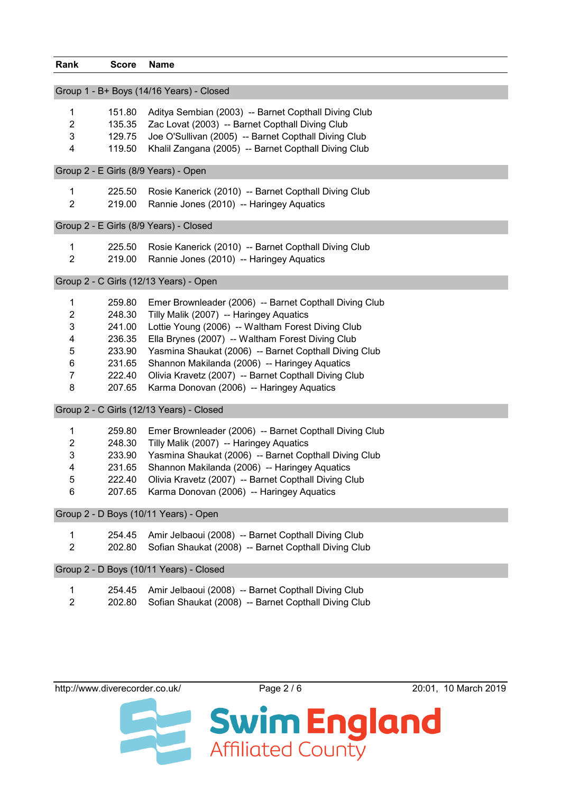| Rank           | <b>Score</b> | <b>Name</b>                                            |
|----------------|--------------|--------------------------------------------------------|
|                |              | Group 1 - B+ Boys (14/16 Years) - Closed               |
| 1              | 151.80       | Aditya Sembian (2003) -- Barnet Copthall Diving Club   |
| $\overline{2}$ | 135.35       | Zac Lovat (2003) -- Barnet Copthall Diving Club        |
| 3              | 129.75       | Joe O'Sullivan (2005) -- Barnet Copthall Diving Club   |
| 4              | 119.50       | Khalil Zangana (2005) -- Barnet Copthall Diving Club   |
|                |              | Group 2 - E Girls (8/9 Years) - Open                   |
| 1              | 225.50       | Rosie Kanerick (2010) -- Barnet Copthall Diving Club   |
| $\overline{2}$ | 219.00       | Rannie Jones (2010) -- Haringey Aquatics               |
|                |              | Group 2 - E Girls (8/9 Years) - Closed                 |
| 1              | 225.50       | Rosie Kanerick (2010) -- Barnet Copthall Diving Club   |
| $\overline{2}$ | 219.00       | Rannie Jones (2010) -- Haringey Aquatics               |
|                |              | Group 2 - C Girls (12/13 Years) - Open                 |
| 1              | 259.80       | Emer Brownleader (2006) -- Barnet Copthall Diving Club |
| 2              | 248.30       | Tilly Malik (2007) -- Haringey Aquatics                |
| 3              | 241.00       | Lottie Young (2006) -- Waltham Forest Diving Club      |
| 4              | 236.35       | Ella Brynes (2007) -- Waltham Forest Diving Club       |
| 5              | 233.90       | Yasmina Shaukat (2006) -- Barnet Copthall Diving Club  |
| 6              | 231.65       | Shannon Makilanda (2006) -- Haringey Aquatics          |
| $\overline{7}$ | 222.40       | Olivia Kravetz (2007) -- Barnet Copthall Diving Club   |
| 8              | 207.65       | Karma Donovan (2006) -- Haringey Aquatics              |
|                |              | Group 2 - C Girls (12/13 Years) - Closed               |
| 1              | 259.80       | Emer Brownleader (2006) -- Barnet Copthall Diving Club |
| 2              | 248.30       | Tilly Malik (2007) -- Haringey Aquatics                |
| 3              | 233.90       | Yasmina Shaukat (2006) -- Barnet Copthall Diving Club  |
| 4              | 231.65       | Shannon Makilanda (2006) -- Haringey Aquatics          |
| 5              | 222.40       | Olivia Kravetz (2007) -- Barnet Copthall Diving Club   |
| 6              | 207.65       | Karma Donovan (2006) -- Haringey Aquatics              |
|                |              | Group 2 - D Boys (10/11 Years) - Open                  |
| 1              | 254.45       | Amir Jelbaoui (2008) -- Barnet Copthall Diving Club    |
| $\overline{2}$ | 202.80       | Sofian Shaukat (2008) -- Barnet Copthall Diving Club   |
|                |              | Group 2 - D Boys (10/11 Years) - Closed                |
| 1              | 254.45       | Amir Jelbaoui (2008) -- Barnet Copthall Diving Club    |
| $\overline{2}$ | 202.80       | Sofian Shaukat (2008) -- Barnet Copthall Diving Club   |
|                |              |                                                        |

http://www.diverecorder.co.uk/ Page 2 / 6 20:01, 10 March 2019

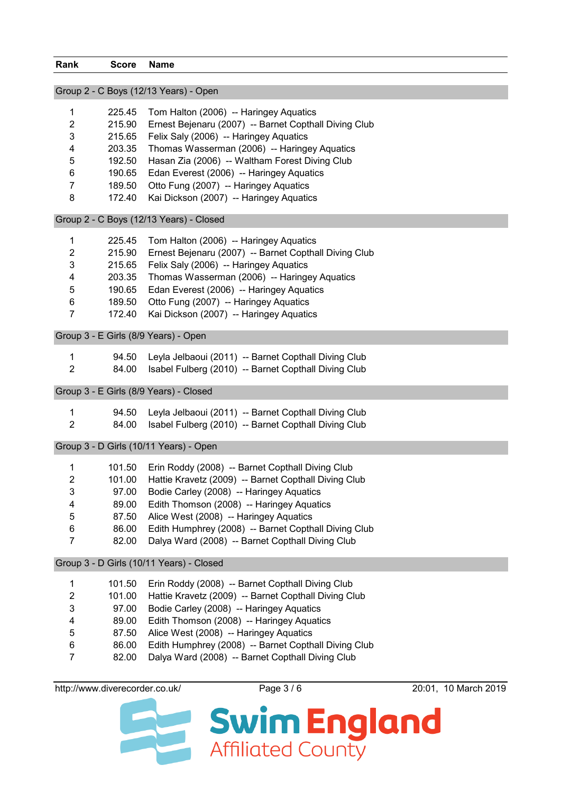| Rank                                   | <b>Score</b>                         | <b>Name</b>                                                                                    |  |
|----------------------------------------|--------------------------------------|------------------------------------------------------------------------------------------------|--|
|                                        |                                      | Group 2 - C Boys (12/13 Years) - Open                                                          |  |
|                                        |                                      |                                                                                                |  |
| 1                                      | 225.45                               | Tom Halton (2006) -- Haringey Aquatics                                                         |  |
| $\overline{2}$                         | 215.90                               | Ernest Bejenaru (2007) -- Barnet Copthall Diving Club                                          |  |
| 3                                      | 215.65                               | Felix Saly (2006) -- Haringey Aquatics                                                         |  |
| 4                                      | 203.35                               | Thomas Wasserman (2006) -- Haringey Aquatics                                                   |  |
| 5                                      | 192.50                               | Hasan Zia (2006) -- Waltham Forest Diving Club                                                 |  |
| 6                                      | 190.65                               | Edan Everest (2006) -- Haringey Aquatics                                                       |  |
| 7                                      | 189.50                               | Otto Fung (2007) -- Haringey Aquatics                                                          |  |
| 8                                      | 172.40                               | Kai Dickson (2007) -- Haringey Aquatics                                                        |  |
|                                        |                                      | Group 2 - C Boys (12/13 Years) - Closed                                                        |  |
| 1                                      | 225.45                               | Tom Halton (2006) -- Haringey Aquatics                                                         |  |
| 2                                      | 215.90                               | Ernest Bejenaru (2007) -- Barnet Copthall Diving Club                                          |  |
| 3                                      | 215.65                               | Felix Saly (2006) -- Haringey Aquatics                                                         |  |
| 4                                      | 203.35                               | Thomas Wasserman (2006) -- Haringey Aquatics                                                   |  |
| 5                                      | 190.65                               | Edan Everest (2006) -- Haringey Aquatics                                                       |  |
| 6                                      | 189.50                               | Otto Fung (2007) -- Haringey Aquatics                                                          |  |
| $\overline{7}$                         | 172.40                               | Kai Dickson (2007) -- Haringey Aquatics                                                        |  |
|                                        | Group 3 - E Girls (8/9 Years) - Open |                                                                                                |  |
| 1                                      | 94.50                                | Leyla Jelbaoui (2011) -- Barnet Copthall Diving Club                                           |  |
| $\overline{2}$                         | 84.00                                | Isabel Fulberg (2010) -- Barnet Copthall Diving Club                                           |  |
|                                        |                                      | Group 3 - E Girls (8/9 Years) - Closed                                                         |  |
|                                        |                                      |                                                                                                |  |
| 1                                      | 94.50                                | Leyla Jelbaoui (2011) -- Barnet Copthall Diving Club                                           |  |
| $\overline{2}$                         | 84.00                                | Isabel Fulberg (2010) -- Barnet Copthall Diving Club                                           |  |
| Group 3 - D Girls (10/11 Years) - Open |                                      |                                                                                                |  |
| 1                                      | 101.50                               | Erin Roddy (2008) -- Barnet Copthall Diving Club                                               |  |
| 2                                      |                                      | 101.00 Hattie Kravetz (2009) -- Barnet Copthall Diving Club                                    |  |
| 3                                      | 97.00                                | Bodie Carley (2008) -- Haringey Aquatics                                                       |  |
| 4                                      | 89.00                                | Edith Thomson (2008) -- Haringey Aquatics                                                      |  |
| 5                                      | 87.50                                | Alice West (2008) -- Haringey Aquatics                                                         |  |
| 6                                      | 86.00                                | Edith Humphrey (2008) -- Barnet Copthall Diving Club                                           |  |
| 7                                      | 82.00                                | Dalya Ward (2008) -- Barnet Copthall Diving Club                                               |  |
|                                        |                                      | Group 3 - D Girls (10/11 Years) - Closed                                                       |  |
| 1                                      | 101.50                               | Erin Roddy (2008) -- Barnet Copthall Diving Club                                               |  |
| 2                                      | 101.00                               | Hattie Kravetz (2009) -- Barnet Copthall Diving Club                                           |  |
| 3                                      |                                      |                                                                                                |  |
|                                        | 97.00                                | Bodie Carley (2008) -- Haringey Aquatics                                                       |  |
| 4<br>5                                 | 89.00                                | Edith Thomson (2008) -- Haringey Aquatics                                                      |  |
| 6                                      | 87.50<br>86.00                       | Alice West (2008) -- Haringey Aquatics<br>Edith Humphrey (2008) -- Barnet Copthall Diving Club |  |
| $\overline{7}$                         | 82.00                                | Dalya Ward (2008) -- Barnet Copthall Diving Club                                               |  |

http://www.diverecorder.co.uk/ Page 3 / 6 20:01, 10 March 2019

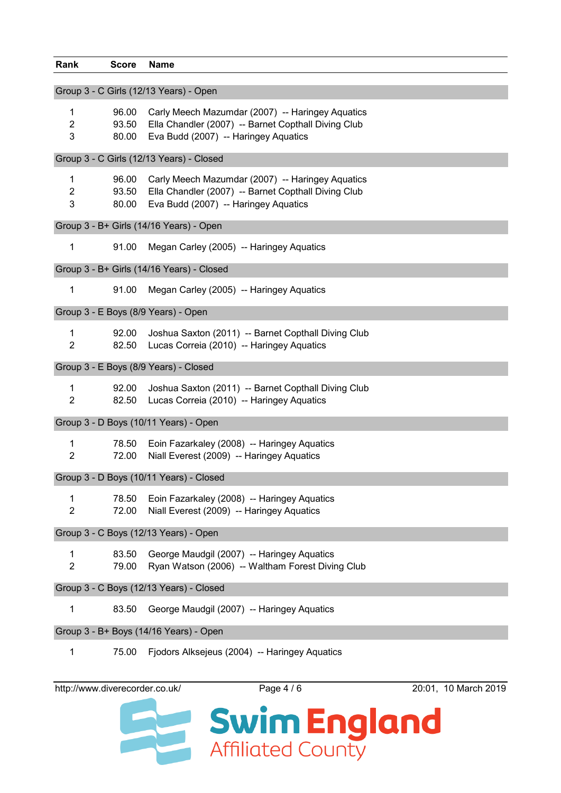| Rank                                    | <b>Score</b>            | <b>Name</b>                                                                                                                                     |
|-----------------------------------------|-------------------------|-------------------------------------------------------------------------------------------------------------------------------------------------|
|                                         |                         | Group 3 - C Girls (12/13 Years) - Open                                                                                                          |
| 1<br>$\overline{2}$<br>3                | 96.00<br>93.50<br>80.00 | Carly Meech Mazumdar (2007) -- Haringey Aquatics<br>Ella Chandler (2007) -- Barnet Copthall Diving Club<br>Eva Budd (2007) -- Haringey Aquatics |
|                                         |                         | Group 3 - C Girls (12/13 Years) - Closed                                                                                                        |
| 1<br>2<br>3                             | 96.00<br>93.50<br>80.00 | Carly Meech Mazumdar (2007) -- Haringey Aquatics<br>Ella Chandler (2007) -- Barnet Copthall Diving Club<br>Eva Budd (2007) -- Haringey Aquatics |
|                                         |                         | Group 3 - B+ Girls (14/16 Years) - Open                                                                                                         |
| 1                                       | 91.00                   | Megan Carley (2005) -- Haringey Aquatics                                                                                                        |
|                                         |                         | Group 3 - B+ Girls (14/16 Years) - Closed                                                                                                       |
| 1                                       | 91.00                   | Megan Carley (2005) -- Haringey Aquatics                                                                                                        |
|                                         |                         | Group 3 - E Boys (8/9 Years) - Open                                                                                                             |
| $\mathbf{1}$<br>$\overline{2}$          | 92.00<br>82.50          | Joshua Saxton (2011) -- Barnet Copthall Diving Club<br>Lucas Correia (2010) -- Haringey Aquatics                                                |
|                                         |                         | Group 3 - E Boys (8/9 Years) - Closed                                                                                                           |
| 1<br>$\overline{2}$                     | 92.00<br>82.50          | Joshua Saxton (2011) -- Barnet Copthall Diving Club<br>Lucas Correia (2010) -- Haringey Aquatics                                                |
|                                         |                         | Group 3 - D Boys (10/11 Years) - Open                                                                                                           |
| $\mathbf{1}$<br>$\overline{2}$          | 78.50<br>72.00          | Eoin Fazarkaley (2008) -- Haringey Aquatics<br>Niall Everest (2009) -- Haringey Aquatics                                                        |
|                                         |                         | Group 3 - D Boys (10/11 Years) - Closed                                                                                                         |
| 1<br>$\overline{2}$                     | 78.50<br>72.00          | Eoin Fazarkaley (2008) -- Haringey Aquatics<br>Niall Everest (2009) -- Haringey Aquatics                                                        |
| Group 3 - C Boys (12/13 Years) - Open   |                         |                                                                                                                                                 |
| 1<br>$\overline{2}$                     | 83.50<br>79.00          | George Maudgil (2007) -- Haringey Aquatics<br>Ryan Watson (2006) -- Waltham Forest Diving Club                                                  |
| Group 3 - C Boys (12/13 Years) - Closed |                         |                                                                                                                                                 |
| 1                                       | 83.50                   | George Maudgil (2007) -- Haringey Aquatics                                                                                                      |
|                                         |                         | Group 3 - B+ Boys (14/16 Years) - Open                                                                                                          |
| 1                                       | 75.00                   | Fjodors Alksejeus (2004) -- Haringey Aquatics                                                                                                   |

http://www.diverecorder.co.uk/ Page 4 / 6 20:01, 10 March 2019

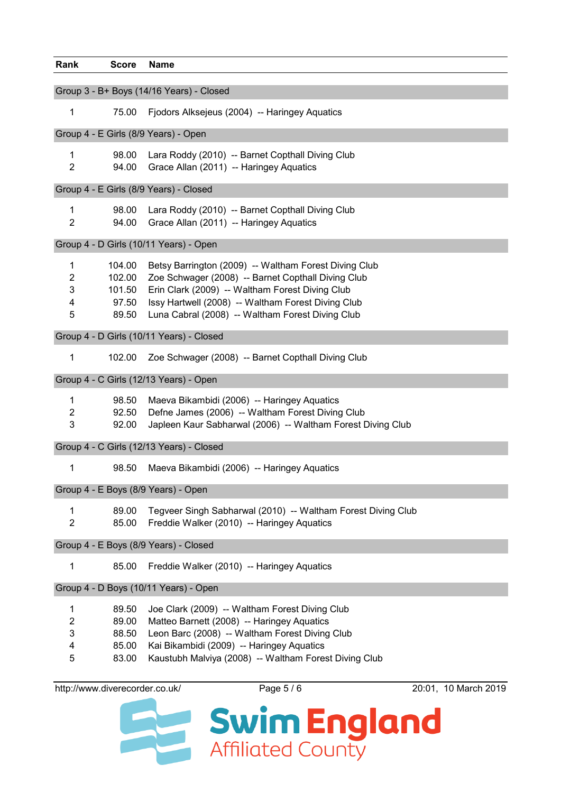| Rank                                            | <b>Score</b>                                 | <b>Name</b>                                                                                                                                                                                                                                                              |  |
|-------------------------------------------------|----------------------------------------------|--------------------------------------------------------------------------------------------------------------------------------------------------------------------------------------------------------------------------------------------------------------------------|--|
| Group 3 - B+ Boys (14/16 Years) - Closed        |                                              |                                                                                                                                                                                                                                                                          |  |
| $\mathbf{1}$                                    | 75.00                                        | Fjodors Alksejeus (2004) -- Haringey Aquatics                                                                                                                                                                                                                            |  |
|                                                 |                                              | Group 4 - E Girls (8/9 Years) - Open                                                                                                                                                                                                                                     |  |
| 1<br>$\overline{2}$                             | 98.00<br>94.00                               | Lara Roddy (2010) -- Barnet Copthall Diving Club<br>Grace Allan (2011) -- Haringey Aquatics                                                                                                                                                                              |  |
|                                                 |                                              | Group 4 - E Girls (8/9 Years) - Closed                                                                                                                                                                                                                                   |  |
| $\mathbf{1}$<br>$\overline{2}$                  | 98.00<br>94.00                               | Lara Roddy (2010) -- Barnet Copthall Diving Club<br>Grace Allan (2011) -- Haringey Aquatics                                                                                                                                                                              |  |
|                                                 |                                              | Group 4 - D Girls (10/11 Years) - Open                                                                                                                                                                                                                                   |  |
| $\mathbf{1}$<br>$\overline{2}$<br>3<br>4<br>5   | 104.00<br>102.00<br>101.50<br>97.50<br>89.50 | Betsy Barrington (2009) -- Waltham Forest Diving Club<br>Zoe Schwager (2008) -- Barnet Copthall Diving Club<br>Erin Clark (2009) -- Waltham Forest Diving Club<br>Issy Hartwell (2008) -- Waltham Forest Diving Club<br>Luna Cabral (2008) -- Waltham Forest Diving Club |  |
|                                                 |                                              | Group 4 - D Girls (10/11 Years) - Closed                                                                                                                                                                                                                                 |  |
| 1                                               | 102.00                                       | Zoe Schwager (2008) -- Barnet Copthall Diving Club                                                                                                                                                                                                                       |  |
|                                                 |                                              | Group 4 - C Girls (12/13 Years) - Open                                                                                                                                                                                                                                   |  |
| 1<br>$\overline{2}$<br>$\mathbf{3}$             | 98.50<br>92.50<br>92.00                      | Maeva Bikambidi (2006) -- Haringey Aquatics<br>Defne James (2006) -- Waltham Forest Diving Club<br>Japleen Kaur Sabharwal (2006) -- Waltham Forest Diving Club                                                                                                           |  |
| Group 4 - C Girls (12/13 Years) - Closed        |                                              |                                                                                                                                                                                                                                                                          |  |
| 1                                               | 98.50                                        | Maeva Bikambidi (2006) -- Haringey Aquatics                                                                                                                                                                                                                              |  |
| Group 4 - E Boys (8/9 Years) - Open             |                                              |                                                                                                                                                                                                                                                                          |  |
| $\mathbf{1}$<br>$\overline{2}$                  | 89.00<br>85.00                               | Tegveer Singh Sabharwal (2010) -- Waltham Forest Diving Club<br>Freddie Walker (2010) -- Haringey Aquatics                                                                                                                                                               |  |
| Group 4 - E Boys (8/9 Years) - Closed           |                                              |                                                                                                                                                                                                                                                                          |  |
| 1                                               | 85.00                                        | Freddie Walker (2010) -- Haringey Aquatics                                                                                                                                                                                                                               |  |
| Group 4 - D Boys (10/11 Years) - Open           |                                              |                                                                                                                                                                                                                                                                          |  |
| $\mathbf{1}$<br>$\boldsymbol{2}$<br>3<br>4<br>5 | 89.50<br>89.00<br>88.50<br>85.00<br>83.00    | Joe Clark (2009) -- Waltham Forest Diving Club<br>Matteo Barnett (2008) -- Haringey Aquatics<br>Leon Barc (2008) -- Waltham Forest Diving Club<br>Kai Bikambidi (2009) -- Haringey Aquatics<br>Kaustubh Malviya (2008) -- Waltham Forest Diving Club                     |  |

http://www.diverecorder.co.uk/ Page 5 / 6 20:01, 10 March 2019